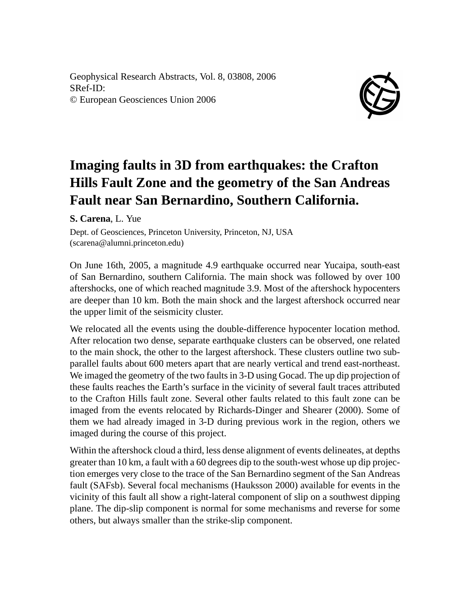Geophysical Research Abstracts, Vol. 8, 03808, 2006 SRef-ID: © European Geosciences Union 2006



## **Imaging faults in 3D from earthquakes: the Crafton Hills Fault Zone and the geometry of the San Andreas Fault near San Bernardino, Southern California.**

**S. Carena**, L. Yue

Dept. of Geosciences, Princeton University, Princeton, NJ, USA (scarena@alumni.princeton.edu)

On June 16th, 2005, a magnitude 4.9 earthquake occurred near Yucaipa, south-east of San Bernardino, southern California. The main shock was followed by over 100 aftershocks, one of which reached magnitude 3.9. Most of the aftershock hypocenters are deeper than 10 km. Both the main shock and the largest aftershock occurred near the upper limit of the seismicity cluster.

We relocated all the events using the double-difference hypocenter location method. After relocation two dense, separate earthquake clusters can be observed, one related to the main shock, the other to the largest aftershock. These clusters outline two subparallel faults about 600 meters apart that are nearly vertical and trend east-northeast. We imaged the geometry of the two faults in 3-D using Gocad. The up dip projection of these faults reaches the Earth's surface in the vicinity of several fault traces attributed to the Crafton Hills fault zone. Several other faults related to this fault zone can be imaged from the events relocated by Richards-Dinger and Shearer (2000). Some of them we had already imaged in 3-D during previous work in the region, others we imaged during the course of this project.

Within the aftershock cloud a third, less dense alignment of events delineates, at depths greater than 10 km, a fault with a 60 degrees dip to the south-west whose up dip projection emerges very close to the trace of the San Bernardino segment of the San Andreas fault (SAFsb). Several focal mechanisms (Hauksson 2000) available for events in the vicinity of this fault all show a right-lateral component of slip on a southwest dipping plane. The dip-slip component is normal for some mechanisms and reverse for some others, but always smaller than the strike-slip component.